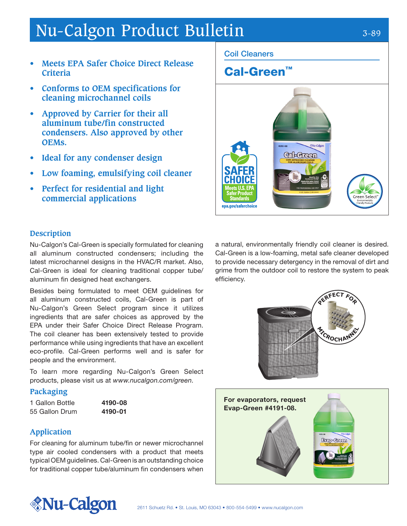## Nu-Calgon Product Bulletin 3-89

- **• Meets EPA Safer Choice Direct Release Criteria**
- **• Conforms to OEM specifications for cleaning microchannel coils**
- **• Approved by Carrier for their all aluminum tube/fin constructed condensers. Also approved by other OEMs.**
- **• Ideal for any condenser design**
- **• Low foaming, emulsifying coil cleaner**
- **• Perfect for residential and light commercial applications**

#### Coil Cleaners

### Cal-Green™



#### **Description**

Nu-Calgon's Cal-Green is specially formulated for cleaning all aluminum constructed condensers; including the latest microchannel designs in the HVAC/R market. Also, Cal-Green is ideal for cleaning traditional copper tube/ aluminum fin designed heat exchangers.

Besides being formulated to meet OEM guidelines for all aluminum constructed coils, Cal-Green is part of Nu-Calgon's Green Select program since it utilizes ingredients that are safer choices as approved by the EPA under their Safer Choice Direct Release Program. The coil cleaner has been extensively tested to provide performance while using ingredients that have an excellent eco-profile. Cal-Green performs well and is safer for people and the environment.

To learn more regarding Nu-Calgon's Green Select products, please visit us at www.nucalgon.com/green.

#### **Packaging**

1 Gallon Bottle **4190-08** 55 Gallon Drum 4190-01

#### **Application**

For cleaning for aluminum tube/fin or newer microchannel type air cooled condensers with a product that meets typical OEM guidelines. Cal-Green is an outstanding choice for traditional copper tube/aluminum fin condensers when

a natural, environmentally friendly coil cleaner is desired. Cal-Green is a low-foaming, metal safe cleaner developed to provide necessary detergency in the removal of dirt and grime from the outdoor coil to restore the system to peak efficiency.





# *<u>Mu-Calgon</u>*